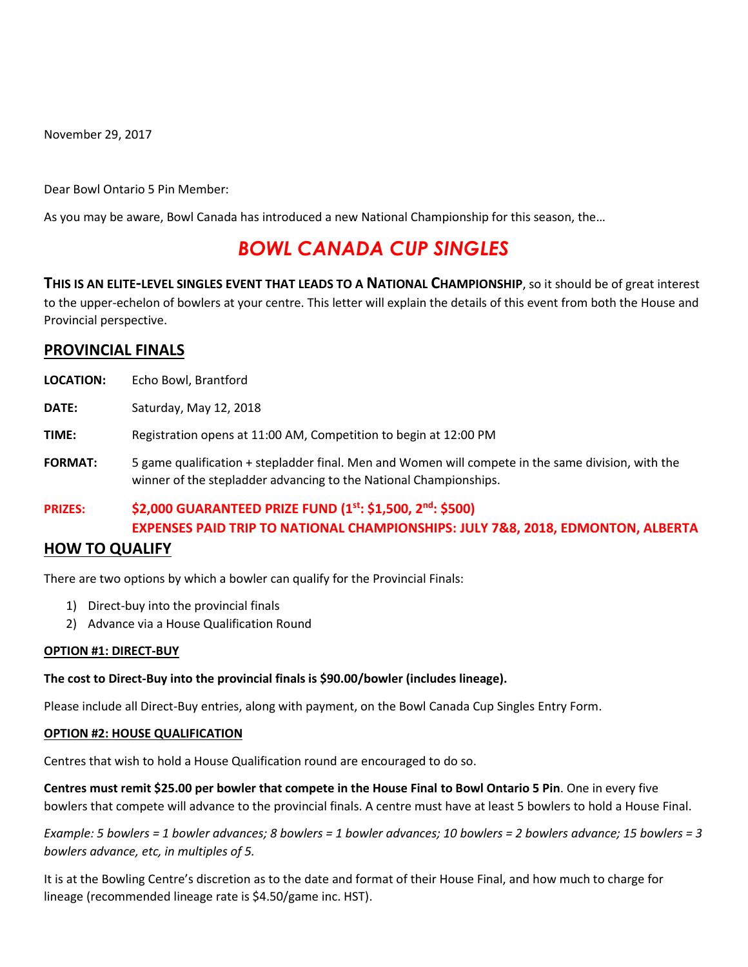November 29, 2017

Dear Bowl Ontario 5 Pin Member:

As you may be aware, Bowl Canada has introduced a new National Championship for this season, the…

# *BOWL CANADA CUP SINGLES*

**THIS IS AN ELITE-LEVEL SINGLES EVENT THAT LEADS TO A NATIONAL CHAMPIONSHIP**, so it should be of great interest to the upper-echelon of bowlers at your centre. This letter will explain the details of this event from both the House and Provincial perspective.

## **PROVINCIAL FINALS**

| <b>LOCATION:</b> | Echo Bowl, Brantford   |
|------------------|------------------------|
| DATE:            | Saturday, May 12, 2018 |

**TIME:** Registration opens at 11:00 AM, Competition to begin at 12:00 PM

**FORMAT:** 5 game qualification + stepladder final. Men and Women will compete in the same division, with the winner of the stepladder advancing to the National Championships.

**PRIZES: \$2,000 GUARANTEED PRIZE FUND (1st: \$1,500, 2nd: \$500) EXPENSES PAID TRIP TO NATIONAL CHAMPIONSHIPS: JULY 7&8, 2018, EDMONTON, ALBERTA**

### **HOW TO QUALIFY**

There are two options by which a bowler can qualify for the Provincial Finals:

- 1) Direct-buy into the provincial finals
- 2) Advance via a House Qualification Round

#### **OPTION #1: DIRECT-BUY**

#### **The cost to Direct-Buy into the provincial finals is \$90.00/bowler (includes lineage).**

Please include all Direct-Buy entries, along with payment, on the Bowl Canada Cup Singles Entry Form.

#### **OPTION #2: HOUSE QUALIFICATION**

Centres that wish to hold a House Qualification round are encouraged to do so.

**Centres must remit \$25.00 per bowler that compete in the House Final to Bowl Ontario 5 Pin**. One in every five bowlers that compete will advance to the provincial finals. A centre must have at least 5 bowlers to hold a House Final.

*Example: 5 bowlers = 1 bowler advances; 8 bowlers = 1 bowler advances; 10 bowlers = 2 bowlers advance; 15 bowlers = 3 bowlers advance, etc, in multiples of 5.*

It is at the Bowling Centre's discretion as to the date and format of their House Final, and how much to charge for lineage (recommended lineage rate is \$4.50/game inc. HST).